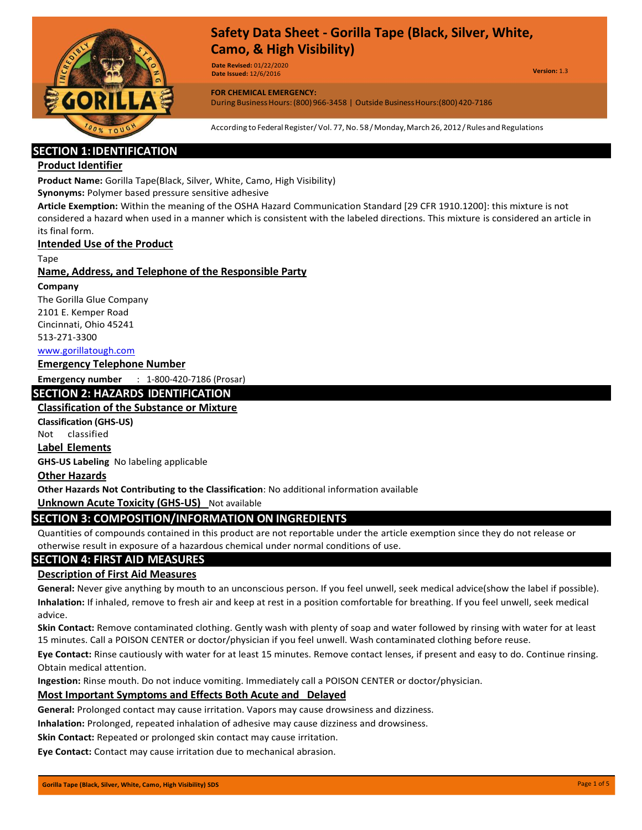

**Date Revised:** 01/22/2020 **Date Issued:** 12/6/2016

**Version:** 1.3

**FOR CHEMICAL EMERGENCY:** During BusinessHours:(800)966-3458 | Outside BusinessHours:(800)420-7186

According to Federal Register/Vol. 77,No. 58/Monday,March 26, 2012/Rules and Regulations

# **SECTION 1:IDENTIFICATION**

## **Product Identifier**

**Product Name:** Gorilla Tape(Black, Silver, White, Camo, High Visibility)

**Synonyms:** Polymer based pressure sensitive adhesive

**Article Exemption:** Within the meaning of the OSHA Hazard Communication Standard [29 CFR 1910.1200]: this mixture is not considered a hazard when used in a manner which is consistent with the labeled directions. This mixture is considered an article in its final form.

#### **Intended Use of the Product**

Tape

#### **Name, Address, and Telephone of the Responsible Party**

#### **Company**

The Gorilla Glue Company 2101 E. Kemper Road Cincinnati, Ohio 45241 513-271-3300

[www.gorillatough.com](http://www.gorillatough.com/)

#### **Emergency Telephone Number**

**Emergency number** : 1-800-420-7186 (Prosar)

# **SECTION 2: HAZARDS IDENTIFICATION**

## **Classification of the Substance or Mixture**

**Classification (GHS-US)** 

Not classified

## **Label Elements**

**GHS-US Labeling** No labeling applicable

#### **Other Hazards**

**Other Hazards Not Contributing to the Classification**: No additional information available

**Unknown Acute Toxicity (GHS-US)** Not available

# **SECTION 3: COMPOSITION/INFORMATION ON INGREDIENTS**

Quantities of compounds contained in this product are not reportable under the article exemption since they do not release or otherwise result in exposure of a hazardous chemical under normal conditions of use.

#### **SECTION 4: FIRST AID MEASURES**

#### **Description of First Aid Measures**

**General:** Never give anything by mouth to an unconscious person. If you feel unwell, seek medical advice(show the label if possible). **Inhalation:** If inhaled, remove to fresh air and keep at rest in a position comfortable for breathing. If you feel unwell, seek medical advice.

**Skin Contact:** Remove contaminated clothing. Gently wash with plenty of soap and water followed by rinsing with water for at least 15 minutes. Call a POISON CENTER or doctor/physician if you feel unwell. Wash contaminated clothing before reuse.

**Eye Contact:** Rinse cautiously with water for at least 15 minutes. Remove contact lenses, if present and easy to do. Continue rinsing. Obtain medical attention.

**Ingestion:** Rinse mouth. Do not induce vomiting. Immediately call a POISON CENTER or doctor/physician.

#### **Most Important Symptoms and Effects Both Acute and Delayed**

**General:** Prolonged contact may cause irritation. Vapors may cause drowsiness and dizziness.

**Inhalation:** Prolonged, repeated inhalation of adhesive may cause dizziness and drowsiness.

**Skin Contact:** Repeated or prolonged skin contact may cause irritation.

**Eye Contact:** Contact may cause irritation due to mechanical abrasion.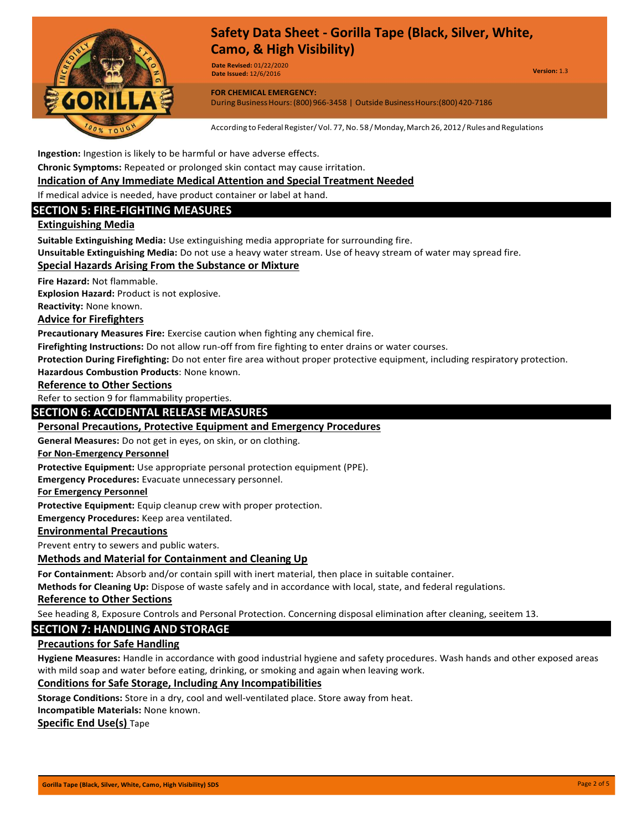

**Date Revised:** 01/22/2020 **Date Issued:** 12/6/2016

**Version:** 1.3

**FOR CHEMICAL EMERGENCY:** During BusinessHours:(800)966-3458 | Outside BusinessHours:(800)420-7186

According to Federal Register/Vol. 77, No. 58/Monday, March 26, 2012/Rules and Regulations

**Ingestion:** Ingestion is likely to be harmful or have adverse effects.

**Chronic Symptoms:** Repeated or prolonged skin contact may cause irritation.

**Indication of Any Immediate Medical Attention and Special Treatment Needed**

If medical advice is needed, have product container or label at hand.

# **SECTION 5: FIRE-FIGHTING MEASURES**

#### **Extinguishing Media**

**Suitable Extinguishing Media:** Use extinguishing media appropriate for surrounding fire.

**Unsuitable Extinguishing Media:** Do not use a heavy water stream. Use of heavy stream of water may spread fire.

#### **Special Hazards Arising From the Substance or Mixture**

**Fire Hazard:** Not flammable.

**Explosion Hazard:** Product is not explosive.

**Reactivity:** None known.

#### **Advice for Firefighters**

**Precautionary Measures Fire:** Exercise caution when fighting any chemical fire.

**Firefighting Instructions:** Do not allow run-off from fire fighting to enter drains or water courses.

**Protection During Firefighting:** Do not enter fire area without proper protective equipment, including respiratory protection.

**Hazardous Combustion Products**: None known.

#### **Reference to Other Sections**

Refer to section 9 for flammability properties.

#### **SECTION 6: ACCIDENTAL RELEASE MEASURES**

### **Personal Precautions, Protective Equipment and Emergency Procedures**

**General Measures:** Do not get in eyes, on skin, or on clothing.

#### **For Non-Emergency Personnel**

**Protective Equipment:** Use appropriate personal protection equipment (PPE).

**Emergency Procedures:** Evacuate unnecessary personnel.

**For Emergency Personnel**

**Protective Equipment:** Equip cleanup crew with proper protection.

**Emergency Procedures:** Keep area ventilated.

#### **Environmental Precautions**

Prevent entry to sewers and public waters.

#### **Methods and Material for Containment and Cleaning Up**

**For Containment:** Absorb and/or contain spill with inert material, then place in suitable container.

**Methods for Cleaning Up:** Dispose of waste safely and in accordance with local, state, and federal regulations.

#### **Reference to Other Sections**

See heading 8, Exposure Controls and Personal Protection. Concerning disposal elimination after cleaning, seeitem 13.

#### **SECTION 7: HANDLING AND STORAGE**

#### **Precautions for Safe Handling**

**Hygiene Measures:** Handle in accordance with good industrial hygiene and safety procedures. Wash hands and other exposed areas with mild soap and water before eating, drinking, or smoking and again when leaving work.

#### **Conditions for Safe Storage, Including Any Incompatibilities**

**Storage Conditions:** Store in a dry, cool and well-ventilated place. Store away from heat.

**Incompatible Materials:** None known.

**Specific End Use(s)** Tape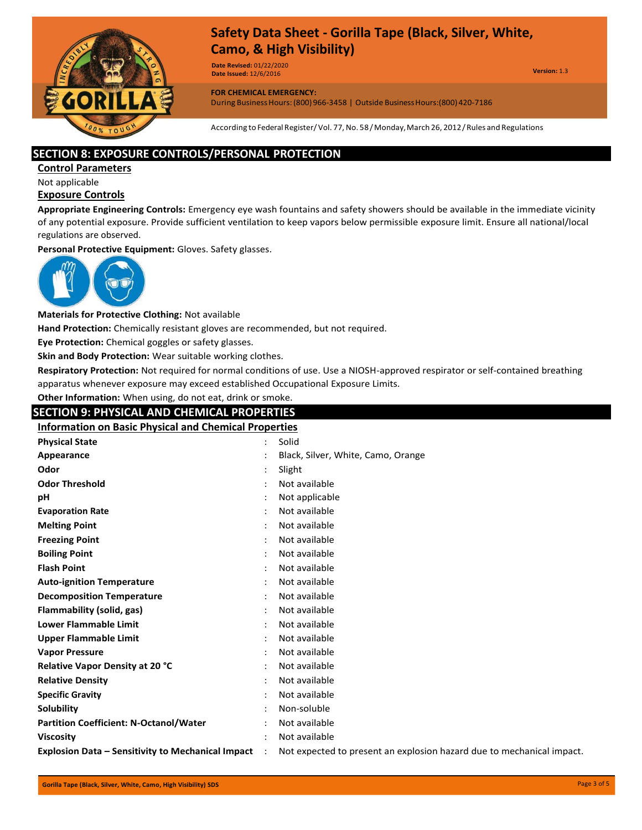

**Date Revised:** 01/22/2020 **Date Issued:** 12/6/2016

**Version:** 1.3

**FOR CHEMICAL EMERGENCY:**

During Business Hours: (800) 966-3458 | Outside Business Hours: (800) 420-7186

According to Federal Register/Vol. 77, No. 58/Monday, March 26, 2012/Rules and Regulations

## **SECTION 8: EXPOSURE CONTROLS/PERSONAL PROTECTION**

**Control Parameters**

Not applicable

# **Exposure Controls**

**Appropriate Engineering Controls:** Emergency eye wash fountains and safety showers should be available in the immediate vicinity of any potential exposure. Provide sufficient ventilation to keep vapors below permissible exposure limit. Ensure all national/local regulations are observed.

**Personal Protective Equipment:** Gloves. Safety glasses.



**Materials for Protective Clothing:** Not available

**Hand Protection:** Chemically resistant gloves are recommended, but not required.

**Eye Protection:** Chemical goggles or safety glasses.

**Skin and Body Protection:** Wear suitable working clothes.

**Respiratory Protection:** Not required for normal conditions of use. Use a NIOSH-approved respirator or self-contained breathing apparatus whenever exposure may exceed established Occupational Exposure Limits.

# **Other Information:** When using, do not eat, drink or smoke.

# **SECTION 9: PHYSICAL AND CHEMICAL PROPERTIES**

**Information on Basic Physical and Chemical Properties**

| <b>Physical State</b>                                    | Solid                                                                 |
|----------------------------------------------------------|-----------------------------------------------------------------------|
| Appearance                                               | Black, Silver, White, Camo, Orange                                    |
| Odor                                                     | Slight                                                                |
| <b>Odor Threshold</b>                                    | Not available                                                         |
| рH                                                       | Not applicable                                                        |
| <b>Evaporation Rate</b>                                  | Not available                                                         |
| <b>Melting Point</b>                                     | Not available                                                         |
| <b>Freezing Point</b>                                    | Not available                                                         |
| <b>Boiling Point</b>                                     | Not available                                                         |
| <b>Flash Point</b>                                       | Not available                                                         |
| <b>Auto-ignition Temperature</b>                         | Not available                                                         |
| <b>Decomposition Temperature</b>                         | Not available                                                         |
| Flammability (solid, gas)                                | Not available                                                         |
| <b>Lower Flammable Limit</b>                             | Not available                                                         |
| <b>Upper Flammable Limit</b>                             | Not available                                                         |
| <b>Vapor Pressure</b>                                    | Not available                                                         |
| <b>Relative Vapor Density at 20 °C</b>                   | Not available                                                         |
| <b>Relative Density</b>                                  | Not available                                                         |
| <b>Specific Gravity</b>                                  | Not available                                                         |
| Solubility                                               | Non-soluble                                                           |
| <b>Partition Coefficient: N-Octanol/Water</b>            | Not available                                                         |
| <b>Viscosity</b>                                         | Not available                                                         |
| <b>Explosion Data - Sensitivity to Mechanical Impact</b> | Not expected to present an explosion hazard due to mechanical impact. |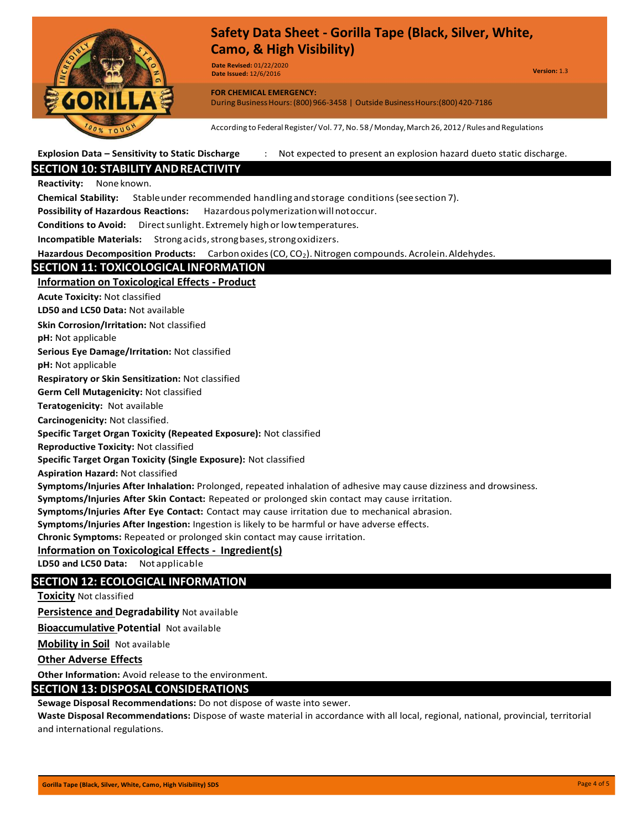

**Date Revised:** 01/22/2020 **Date Issued:** 12/6/2016

**Version:** 1.3

**FOR CHEMICAL EMERGENCY:** During BusinessHours:(800)966-3458 | Outside BusinessHours:(800)420-7186

According to Federal Register/Vol. 77, No. 58/Monday, March 26, 2012/Rules and Regulations

**Explosion Data – Sensitivity to Static Discharge** : Not expected to present an explosion hazard dueto static discharge.

# **SECTION 10: STABILITY ANDREACTIVITY**

**Reactivity:** None known.

**Chemical Stability:** Stableunder recommended handling andstorage conditions(seesection 7).

**Possibility of Hazardous Reactions:** Hazardous polymerizationwillnotoccur.

**Conditions to Avoid:** Direct sunlight. Extremely high or low temperatures.

**Incompatible Materials:** Strong acids, strong bases, strong oxidizers.

Hazardous Decomposition Products: Carbonoxides (CO, CO<sub>2</sub>). Nitrogen compounds. Acrolein. Aldehydes.

# **SECTION 11: TOXICOLOGICAL INFORMATION**

## **Information on Toxicological Effects - Product**

**Acute Toxicity:** Not classified

**LD50 and LC50 Data:** Not available

**Skin Corrosion/Irritation:** Not classified

**pH:** Not applicable

**Serious Eye Damage/Irritation:** Not classified

**pH:** Not applicable

**Respiratory or Skin Sensitization:** Not classified

**Germ Cell Mutagenicity:** Not classified

**Teratogenicity:** Not available

**Carcinogenicity:** Not classified.

**Specific Target Organ Toxicity (Repeated Exposure):** Not classified

**Reproductive Toxicity:** Not classified

**Specific Target Organ Toxicity (Single Exposure):** Not classified

**Aspiration Hazard:** Not classified

**Symptoms/Injuries After Inhalation:** Prolonged, repeated inhalation of adhesive may cause dizziness and drowsiness.

**Symptoms/Injuries After Skin Contact:** Repeated or prolonged skin contact may cause irritation.

**Symptoms/Injuries After Eye Contact:** Contact may cause irritation due to mechanical abrasion.

**Symptoms/Injuries After Ingestion:** Ingestion is likely to be harmful or have adverse effects.

**Chronic Symptoms:** Repeated or prolonged skin contact may cause irritation.

#### **Information on Toxicological Effects - Ingredient(s)**

**LD50 and LC50 Data:** Not applicable

# **SECTION 12: ECOLOGICAL INFORMATION**

**Toxicity** Not classified

**Persistence and Degradability** Not available

**Bioaccumulative Potential** Not available

**Mobility in Soil** Not available

**Other Adverse Effects**

**Other Information:** Avoid release to the environment.

# **SECTION 13: DISPOSAL CONSIDERATIONS**

**Sewage Disposal Recommendations:** Do not dispose of waste into sewer.

**Waste Disposal Recommendations:** Dispose of waste material in accordance with all local, regional, national, provincial, territorial and international regulations.